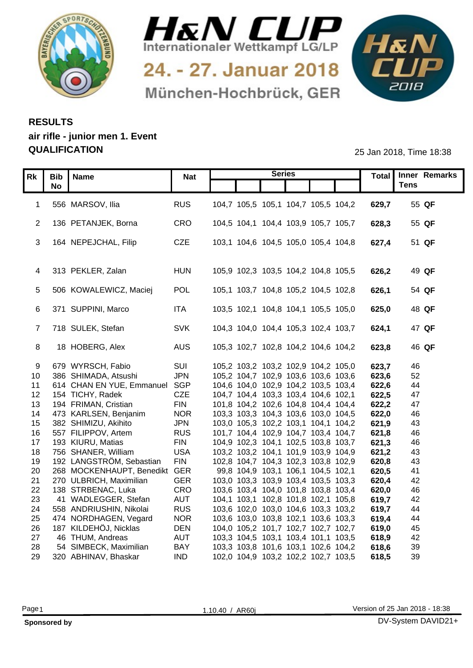



24. - 27. Januar 2018 München-Hochbrück, GER



## **RESULTS air rifle - junior men 1. Event QUALIFICATION** 25 Jan 2018, Time 18:38

|                       | Rk   Bib   Name                                | <b>Nat</b>               |                                     | <b>Series</b> |                                     |                | Total Inner Remarks |
|-----------------------|------------------------------------------------|--------------------------|-------------------------------------|---------------|-------------------------------------|----------------|---------------------|
|                       | <b>No</b>                                      |                          |                                     |               |                                     |                | <b>Tens</b>         |
|                       |                                                |                          |                                     |               |                                     |                |                     |
|                       | 1 556 MARSOV, Ilia                             | <b>RUS</b>               | 104,7 105,5 105,1 104,7 105,5 104,2 |               |                                     | 629,7          | 55 QF               |
|                       | 2 136 PETANJEK, Borna                          | CRO                      |                                     |               | 104,5 104,1 104,4 103,9 105,7 105,7 | 628,3          | 55 QF               |
|                       |                                                |                          |                                     |               |                                     |                |                     |
|                       | 3 164 NEPEJCHAL, Filip                         | <b>CZE</b>               | 103,1 104,6 104,5 105,0 105,4 104,8 |               |                                     | 627,4          | 51 QF               |
|                       |                                                |                          |                                     |               |                                     |                |                     |
|                       |                                                |                          |                                     |               |                                     |                |                     |
|                       | 4 313 PEKLER, Zalan                            | <b>HUN</b>               |                                     |               | 105,9 102,3 103,5 104,2 104,8 105,5 | 626,2          | 49 QF               |
|                       |                                                |                          |                                     |               |                                     |                |                     |
|                       | 5 506 KOWALEWICZ, Maciej                       | POL                      | 105,1 103,7 104,8 105,2 104,5 102,8 |               |                                     | 626,1          | 54 QF               |
|                       |                                                |                          |                                     |               |                                     |                |                     |
|                       | 6 371 SUPPINI, Marco                           | ITA                      |                                     |               | 103,5 102,1 104,8 104,1 105,5 105,0 | 625,0          | 48 QF               |
|                       | 7 718 SULEK, Stefan                            | SVK                      | 104,3 104,0 104,4 105,3 102,4 103,7 |               |                                     | 624,1          | 47 QF               |
|                       |                                                |                          |                                     |               |                                     |                |                     |
| -8                    | 18 HOBERG, Alex                                | AUS                      | 105,3 102,7 102,8 104,2 104,6 104,2 |               |                                     | 623,8          | 46 QF               |
|                       |                                                |                          |                                     |               |                                     |                |                     |
| 9                     | 679 WYRSCH, Fabio                              | SUI                      |                                     |               | 105,2 103,2 103,2 102,9 104,2 105,0 | 623,7          | 46                  |
| 10                    | 386 SHIMADA, Atsushi                           | <b>JPN</b>               |                                     |               | 105,2 104,7 102,9 103,6 103,6 103,6 | 623,6          | 52                  |
|                       | 614 CHAN EN YUE, Emmanuel SGP                  |                          |                                     |               | 104,6 104,0 102,9 104,2 103,5 103,4 | 622,6          | 44                  |
|                       | 12 154 TICHY, Radek                            | <b>CZE</b>               |                                     |               | 104,7 104,4 103,3 103,4 104,6 102,1 | 622,5          | 47                  |
| 13 <sup>7</sup>       | 194 FRIMAN, Cristian                           | <b>FIN</b>               |                                     |               | 101,8 104,2 102,6 104,8 104,4 104,4 | 622,2          | 47                  |
| 14                    | 473 KARLSEN, Benjanim                          | <b>NOR</b>               |                                     |               | 103,3 103,3 104,3 103,6 103,0 104,5 | 622,0          | 46                  |
|                       | 15 382 SHIMIZU, Akihito<br>557 FILIPPOV, Artem | <b>JPN</b>               | 103,0 105,3 102,2 103,1 104,1 104,2 |               |                                     | 621,9<br>621,8 | 43<br>46            |
| 16<br>17 <sup>7</sup> | 193 KIURU, Matias                              | <b>RUS</b><br><b>FIN</b> | 101,7 104,4 102,9 104,7 103,4 104,7 |               | 104,9 102,3 104,1 102,5 103,8 103,7 | 621,3          | 46                  |
| 18                    | 756 SHANER, William                            | <b>USA</b>               |                                     |               | 103,2 103,2 104,1 101,9 103,9 104,9 | 621,2          | 43                  |
| 19                    | 192 LANGSTRÖM, Sebastian                       | <b>FIN</b>               |                                     |               | 102,8 104,7 104,3 102,3 103,8 102,9 | 620,8          | 43                  |
| 20                    | 268 MOCKENHAUPT, Benedikt GER                  |                          |                                     |               | 99,8 104,9 103,1 106,1 104,5 102,1  | 620,5          | -41                 |
| 21                    | 270 ULBRICH, Maximilian                        | <b>GER</b>               |                                     |               | 103,0 103,3 103,9 103,4 103,5 103,3 | 620,4          | 42                  |
| 22                    | 138 STRBENAC, Luka                             | <b>CRO</b>               |                                     |               | 103,6 103,4 104,0 101,8 103,8 103,4 | 620,0          | 46                  |
| 23                    | 41 WADLEGGER, Stefan                           | <b>AUT</b>               |                                     |               | 104,1 103,1 102,8 101,8 102,1 105,8 | 619,7          | 42                  |
| 24                    | 558 ANDRIUSHIN, Nikolai                        | <b>RUS</b>               |                                     |               | 103,6 102,0 103,0 104,6 103,3 103,2 | 619,7          | 44                  |
| 25                    | 474 NORDHAGEN, Vegard                          | <b>NOR</b>               | 103,6 103,0 103,8 102,1 103,6 103,3 |               |                                     | 619,4          | 44                  |
| 26                    | 187 KILDEHÖJ, Nicklas                          | <b>DEN</b>               |                                     |               | 104,0 105,2 101,7 102,7 102,7 102,7 | 619,0          | 45                  |
| 27                    | 46 THUM, Andreas                               | <b>AUT</b>               |                                     |               | 103,3 104,5 103,1 103,4 101,1 103,5 | 618,9          | 42                  |
| 28                    | 54 SIMBECK, Maximilian                         | <b>BAY</b><br><b>IND</b> |                                     |               | 103,3 103,8 101,6 103,1 102,6 104,2 | 618,6          | 39                  |
|                       | 29 320 ABHINAV, Bhaskar                        |                          |                                     |               | 102,0 104,9 103,2 102,2 102,7 103,5 | 618,5          | 39                  |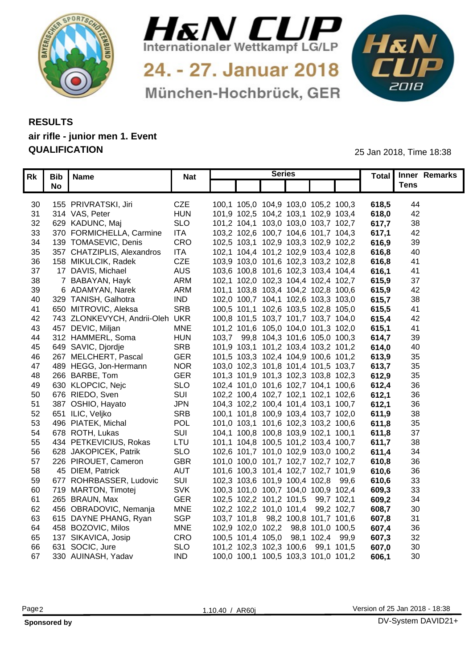



24. - 27. Januar 2018 München-Hochbrück, GER



## **RESULTS air rifle - junior men 1. Event QUALIFICATION** 25 Jan 2018, Time 18:38

|                 | Rk   Bib   Name                 | <b>Nat</b> |                                     | <b>Series</b> |       | Total Inner Remarks |
|-----------------|---------------------------------|------------|-------------------------------------|---------------|-------|---------------------|
|                 | <b>No</b>                       |            |                                     |               |       | <b>Tens</b>         |
|                 |                                 |            |                                     |               |       |                     |
|                 | 30 155 PRIVRATSKI, Jiri         | <b>CZE</b> | 100,1 105,0 104,9 103,0 105,2 100,3 |               | 618,5 | 44                  |
|                 | 31 314 VAS, Peter               | <b>HUN</b> | 101,9 102,5 104,2 103,1 102,9 103,4 |               | 618,0 | 42                  |
| 32 <sup>2</sup> | 629 KADUNC, Maj                 | <b>SLO</b> | 101,2 104,1 103,0 103,0 103,7 102,7 |               | 617.7 | 38                  |
| 33              | 370 FORMICHELLA, Carmine        | <b>ITA</b> | 103,2 102,6 100,7 104,6 101,7 104,3 |               | 617.1 | 42                  |
|                 | 34 139 TOMASEVIC, Denis         | CRO        | 102,5 103,1 102,9 103,3 102,9 102,2 |               | 616,9 | 39                  |
| 35              | 357 CHATZIPLIS, Alexandros      | <b>ITA</b> | 102,1 104,4 101,2 102,9 103,4 102,8 |               | 616,8 | 40                  |
| 36              | 158 MIKULCIK, Radek             | <b>CZE</b> | 103,9 103,0 101,6 102,3 103,2 102,8 |               | 616,8 | 41                  |
| 37              | 17 DAVIS, Michael               | <b>AUS</b> | 103,6 100,8 101,6 102,3 103,4 104,4 |               | 616.7 | 41                  |
| 38              | 7 BABAYAN, Hayk                 | <b>ARM</b> | 102,1 102,0 102,3 104,4 102,4 102,7 |               | 615,9 | 37                  |
| 39              | 6 ADAMYAN, Narek                | <b>ARM</b> | 101,1 103,8 103,4 104,2 102,8 100,6 |               | 615,9 | 42                  |
| 40              | 329 TANISH, Galhotra            | <b>IND</b> | 102,0 100,7 104,1 102,6 103,3 103,0 |               | 615,7 | 38                  |
| -41             | 650 MITROVIC, Aleksa            | <b>SRB</b> | 100,5 101,1 102,6 103,5 102,8 105,0 |               | 615,5 | -41                 |
| 42              | 743 ZLONKEVYCH, Andrii-Oleh UKR |            | 100,8 101,5 103,7 101,7 103,7 104,0 |               | 615,4 | 42                  |
|                 | 43 457 DEVIC, Miljan            | <b>MNE</b> | 101,2 101,6 105,0 104,0 101,3 102,0 |               | 615.7 | 41                  |
|                 | 44 312 HAMMERL, Soma            | <b>HUN</b> | 103,7 99,8 104,3 101,6 105,0 100,3  |               | 614,7 | 39                  |
| 45              | 649 SAVIC, Djordje              | <b>SRE</b> | 101,9 103,1 101,2 103,4 103,2 101,2 |               | 614,0 | 40                  |
|                 | 46 267 MELCHERT, Pascal         | GER        | 101,5 103,3 102,4 104,9 100,6 101,2 |               | 613,9 | 35                  |
| 47              | 489 HEGG, Jon-Hermann           | <b>NOR</b> | 103,0 102,3 101,8 101,4 101,5 103,7 |               | 613,7 | 35                  |
| 48              | 266 BARBE, Tom                  | <b>GER</b> | 101,3 101,9 101,3 102,3 103,8 102,3 |               | 612,9 | 35                  |
| 49              | 630 KLOPCIC, Nejc               | <b>SLO</b> | 102,4 101,0 101,6 102,7 104,1 100,6 |               | 612,4 | 36                  |
| 50              | 676 RIEDO, Sven                 | SUI        | 102,2 100,4 102,7 102,1 102,1 102,6 |               | 612,1 | 36                  |
|                 | 51 387 OSHIO, Hayato            | <b>JPN</b> | 104,3 102,2 100,4 101,4 103,1 100,7 |               | 612,1 | 36                  |
|                 | 52 651 ILIC, Veljko             | <b>SRE</b> | 100,1 101,8 100,9 103,4 103,7 102,0 |               | 611,9 | 38                  |
|                 | 53 496 PIATEK, Michal           | <b>POL</b> | 101,0 103,1 101,6 102,3 103,2 100,6 |               | 611,8 | 35                  |
|                 | 54 678 ROTH, Lukas              | SU         | 104,1 100,8 100,8 103,9 102,1 100,1 |               | 611,8 | 37                  |
| 55              | 434 PETKEVICIUS, Rokas          | LTU        | 101,1 104,8 100,5 101,2 103,4 100,7 |               | 611,7 | 38                  |
|                 | 56 628 JAKOPICEK, Patrik        | <b>SLO</b> | 102,6 101,7 101,0 102,9 103,0 100,2 |               | 611.4 | 34                  |
| 57              | 226 PIROUET, Cameron            | <b>GBR</b> | 101,0 100,0 101,7 102,7 102,7 102,7 |               | 610,8 | 36                  |
| 58              | 45 DIEM, Patrick                | <b>AUT</b> | 101,6 100,3 101,4 102,7 102,7 101,9 |               | 610,6 | 36                  |
| 59              | 677 ROHRBASSER, Ludovic         | SU         | 102,3 103,6 101,9 100,4 102,8 99,6  |               | 610,6 | 33                  |
|                 | 60 719 MARTON, Timotej          | <b>SVK</b> | 100,3 101,0 100,7 104,0 100,9 102,4 |               | 609,3 | 33                  |
| 61              | 265 BRAUN, Max                  | <b>GER</b> | 102,5 102,2 101,2 101,5 99,7 102,1  |               | 609,2 | 34                  |
| 62              | 456 OBRADOVIC, Nemanja          | <b>MNE</b> | 102,2 102,2 101,0 101,4 99,2 102,7  |               | 608,7 | 30                  |
|                 | 63 615 DAYNE PHANG, Ryan        | <b>SGP</b> | 103,7 101,8 98,2 100,8 101,7 101,6  |               | 607,8 | 31                  |
|                 | 64 458 BOZOVIC, Milos           | <b>MNE</b> | 102,9 102,0 102,2 98,8 101,0 100,5  |               | 607,4 | 36                  |
|                 |                                 | CRO        |                                     |               | 607,3 | 32                  |
|                 | 65 137 SIKAVICA, Josip          |            | 100,5 101,4 105,0 98,1 102,4 99,9   |               | 607,0 |                     |
|                 | 66 631 SOCIC, Jure              | <b>SLO</b> | 101,2 102,3 102,3 100,6 99,1 101,5  |               |       | 30                  |
|                 | 67 330 AUINASH, Yadav           | <b>IND</b> | 100,0 100,1 100,5 103,3 101,0 101,2 |               | 606,1 | 30                  |